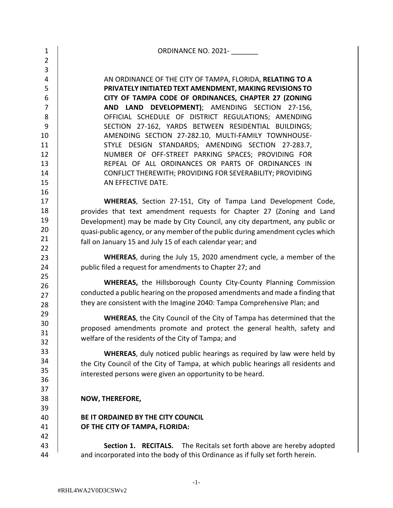| $\mathbf{1}$   | ORDINANCE NO. 2021-                                                               |
|----------------|-----------------------------------------------------------------------------------|
| $\overline{2}$ |                                                                                   |
| 3              |                                                                                   |
| 4              | AN ORDINANCE OF THE CITY OF TAMPA, FLORIDA, RELATING TO A                         |
| 5              | PRIVATELY INITIATED TEXT AMENDMENT, MAKING REVISIONS TO                           |
| 6              | CITY OF TAMPA CODE OF ORDINANCES, CHAPTER 27 (ZONING                              |
| $\overline{7}$ | DEVELOPMENT); AMENDING SECTION 27-156,<br><b>AND LAND</b>                         |
| 8              | OFFICIAL SCHEDULE OF DISTRICT REGULATIONS; AMENDING                               |
| 9              | SECTION 27-162, YARDS BETWEEN RESIDENTIAL BUILDINGS;                              |
| 10             | AMENDING SECTION 27-282.10, MULTI-FAMILY TOWNHOUSE-                               |
| 11             | STYLE DESIGN STANDARDS; AMENDING SECTION 27-283.7,                                |
| 12             | NUMBER OF OFF-STREET PARKING SPACES; PROVIDING FOR                                |
| 13             | REPEAL OF ALL ORDINANCES OR PARTS OF ORDINANCES IN                                |
| 14             | CONFLICT THEREWITH; PROVIDING FOR SEVERABILITY; PROVIDING                         |
| 15             | AN EFFECTIVE DATE.                                                                |
| 16             |                                                                                   |
| 17             | WHEREAS, Section 27-151, City of Tampa Land Development Code,                     |
| 18             | provides that text amendment requests for Chapter 27 (Zoning and Land             |
| 19             | Development) may be made by City Council, any city department, any public or      |
| 20             |                                                                                   |
| 21             | quasi-public agency, or any member of the public during amendment cycles which    |
| 22             | fall on January 15 and July 15 of each calendar year; and                         |
| 23             | <b>WHEREAS</b> , during the July 15, 2020 amendment cycle, a member of the        |
| 24             | public filed a request for amendments to Chapter 27; and                          |
| 25             |                                                                                   |
| 26             | <b>WHEREAS, the Hillsborough County City-County Planning Commission</b>           |
| 27             | conducted a public hearing on the proposed amendments and made a finding that     |
| 28             | they are consistent with the Imagine 2040: Tampa Comprehensive Plan; and          |
| 29             |                                                                                   |
| 30             | <b>WHEREAS, the City Council of the City of Tampa has determined that the</b>     |
| 31             | proposed amendments promote and protect the general health, safety and            |
| 32             | welfare of the residents of the City of Tampa; and                                |
| 33             | <b>WHEREAS</b> , duly noticed public hearings as required by law were held by     |
| 34             | the City Council of the City of Tampa, at which public hearings all residents and |
| 35             |                                                                                   |
| 36             | interested persons were given an opportunity to be heard.                         |
| 37             |                                                                                   |
| 38             | NOW, THEREFORE,                                                                   |
| 39             |                                                                                   |
| 40             | BE IT ORDAINED BY THE CITY COUNCIL                                                |
| 41             | OF THE CITY OF TAMPA, FLORIDA:                                                    |
| 42             |                                                                                   |
| 43             | <b>Section 1. RECITALS.</b> The Recitals set forth above are hereby adopted       |
| 44             | and incorporated into the body of this Ordinance as if fully set forth herein.    |
|                |                                                                                   |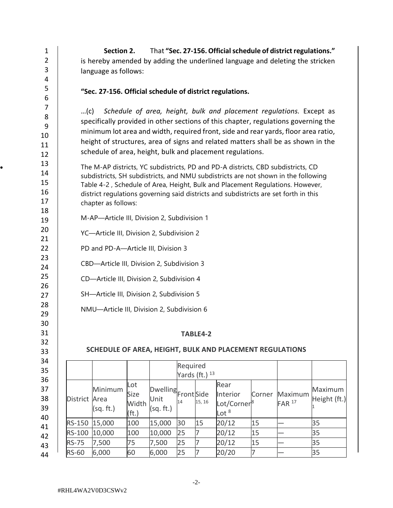|                                                                                                                                                                                                                                                                                                                                                                                                                                                | $\mathbf{1}$<br>$\overline{2}$<br>$\mathbf{3}$<br>$\overline{4}$                                                                                                                                                                                                                                                                                                                                     | That "Sec. 27-156. Official schedule of district regulations."<br>Section 2.<br>is hereby amended by adding the underlined language and deleting the stricken<br>language as follows: |                                             |                    |                        |          |                         |                                                          |                   |              |         |  |  |
|------------------------------------------------------------------------------------------------------------------------------------------------------------------------------------------------------------------------------------------------------------------------------------------------------------------------------------------------------------------------------------------------------------------------------------------------|------------------------------------------------------------------------------------------------------------------------------------------------------------------------------------------------------------------------------------------------------------------------------------------------------------------------------------------------------------------------------------------------------|---------------------------------------------------------------------------------------------------------------------------------------------------------------------------------------|---------------------------------------------|--------------------|------------------------|----------|-------------------------|----------------------------------------------------------|-------------------|--------------|---------|--|--|
|                                                                                                                                                                                                                                                                                                                                                                                                                                                | 5                                                                                                                                                                                                                                                                                                                                                                                                    | "Sec. 27-156. Official schedule of district regulations.                                                                                                                              |                                             |                    |                        |          |                         |                                                          |                   |              |         |  |  |
| 6<br>7<br>Schedule of area, height, bulk and placement regulations. Except as<br>…(c)<br>8<br>specifically provided in other sections of this chapter, regulations governing the<br>9<br>minimum lot area and width, required front, side and rear yards, floor area ratio,<br>10<br>height of structures, area of signs and related matters shall be as shown in the<br>11<br>schedule of area, height, bulk and placement regulations.<br>12 |                                                                                                                                                                                                                                                                                                                                                                                                      |                                                                                                                                                                                       |                                             |                    |                        |          |                         |                                                          |                   |              |         |  |  |
| 18                                                                                                                                                                                                                                                                                                                                                                                                                                             | 13<br>The M-AP districts, YC subdistricts, PD and PD-A districts, CBD subdistricts, CD<br>14<br>subdistricts, SH subdistricts, and NMU subdistricts are not shown in the following<br>15<br>Table 4-2, Schedule of Area, Height, Bulk and Placement Regulations. However,<br>16<br>district regulations governing said districts and subdistricts are set forth in this<br>17<br>chapter as follows: |                                                                                                                                                                                       |                                             |                    |                        |          |                         |                                                          |                   |              |         |  |  |
|                                                                                                                                                                                                                                                                                                                                                                                                                                                | 19                                                                                                                                                                                                                                                                                                                                                                                                   |                                                                                                                                                                                       | M-AP-Article III, Division 2, Subdivision 1 |                    |                        |          |                         |                                                          |                   |              |         |  |  |
| 21                                                                                                                                                                                                                                                                                                                                                                                                                                             | 20                                                                                                                                                                                                                                                                                                                                                                                                   |                                                                                                                                                                                       | YC-Article III, Division 2, Subdivision 2   |                    |                        |          |                         |                                                          |                   |              |         |  |  |
| 22                                                                                                                                                                                                                                                                                                                                                                                                                                             |                                                                                                                                                                                                                                                                                                                                                                                                      |                                                                                                                                                                                       | PD and PD-A-Article III, Division 3         |                    |                        |          |                         |                                                          |                   |              |         |  |  |
| 23                                                                                                                                                                                                                                                                                                                                                                                                                                             |                                                                                                                                                                                                                                                                                                                                                                                                      |                                                                                                                                                                                       | CBD-Article III, Division 2, Subdivision 3  |                    |                        |          |                         |                                                          |                   |              |         |  |  |
| 25                                                                                                                                                                                                                                                                                                                                                                                                                                             | 24                                                                                                                                                                                                                                                                                                                                                                                                   |                                                                                                                                                                                       |                                             |                    |                        |          |                         |                                                          |                   |              |         |  |  |
| 26                                                                                                                                                                                                                                                                                                                                                                                                                                             |                                                                                                                                                                                                                                                                                                                                                                                                      |                                                                                                                                                                                       | CD-Article III, Division 2, Subdivision 4   |                    |                        |          |                         |                                                          |                   |              |         |  |  |
|                                                                                                                                                                                                                                                                                                                                                                                                                                                | 27                                                                                                                                                                                                                                                                                                                                                                                                   |                                                                                                                                                                                       | SH-Article III, Division 2, Subdivision 5   |                    |                        |          |                         |                                                          |                   |              |         |  |  |
|                                                                                                                                                                                                                                                                                                                                                                                                                                                | 28<br>29                                                                                                                                                                                                                                                                                                                                                                                             |                                                                                                                                                                                       | NMU-Article III, Division 2, Subdivision 6  |                    |                        |          |                         |                                                          |                   |              |         |  |  |
| 30                                                                                                                                                                                                                                                                                                                                                                                                                                             |                                                                                                                                                                                                                                                                                                                                                                                                      |                                                                                                                                                                                       |                                             |                    |                        |          |                         |                                                          |                   |              |         |  |  |
| 31                                                                                                                                                                                                                                                                                                                                                                                                                                             |                                                                                                                                                                                                                                                                                                                                                                                                      |                                                                                                                                                                                       |                                             |                    |                        |          | TABLE4-2                |                                                          |                   |              |         |  |  |
| 32                                                                                                                                                                                                                                                                                                                                                                                                                                             |                                                                                                                                                                                                                                                                                                                                                                                                      |                                                                                                                                                                                       |                                             |                    |                        |          |                         | SCHEDULE OF AREA, HEIGHT, BULK AND PLACEMENT REGULATIONS |                   |              |         |  |  |
| 33                                                                                                                                                                                                                                                                                                                                                                                                                                             | 34                                                                                                                                                                                                                                                                                                                                                                                                   |                                                                                                                                                                                       |                                             |                    |                        |          |                         |                                                          |                   |              |         |  |  |
| 35                                                                                                                                                                                                                                                                                                                                                                                                                                             |                                                                                                                                                                                                                                                                                                                                                                                                      |                                                                                                                                                                                       |                                             |                    |                        | Required | Yards (ft.) $13$        |                                                          |                   |              |         |  |  |
|                                                                                                                                                                                                                                                                                                                                                                                                                                                | 36                                                                                                                                                                                                                                                                                                                                                                                                   |                                                                                                                                                                                       |                                             | Lot                |                        |          |                         | Rear                                                     |                   |              |         |  |  |
| 37                                                                                                                                                                                                                                                                                                                                                                                                                                             |                                                                                                                                                                                                                                                                                                                                                                                                      |                                                                                                                                                                                       | Minimum                                     | Size               | Dwelling<br>Front Side |          |                         | Interior                                                 | Corner            | Maximum      | Maximum |  |  |
|                                                                                                                                                                                                                                                                                                                                                                                                                                                | 38<br>District Area<br>39                                                                                                                                                                                                                                                                                                                                                                            |                                                                                                                                                                                       | Width                                       | Unit               | 14                     | 15, 16   | Lot/Corner <sup>8</sup> |                                                          | FAR <sup>17</sup> | Height (ft.) |         |  |  |
|                                                                                                                                                                                                                                                                                                                                                                                                                                                | 40                                                                                                                                                                                                                                                                                                                                                                                                   |                                                                                                                                                                                       | (sq. ft.)                                   | (f <sub>t</sub> .) | (sq. ft.)              |          |                         | Lot $8$                                                  |                   |              |         |  |  |
|                                                                                                                                                                                                                                                                                                                                                                                                                                                | 41                                                                                                                                                                                                                                                                                                                                                                                                   | RS-150                                                                                                                                                                                | 15,000                                      | 100                | 15,000                 | 30       | 15                      | 20/12                                                    | 15                |              | 35      |  |  |
| 42                                                                                                                                                                                                                                                                                                                                                                                                                                             |                                                                                                                                                                                                                                                                                                                                                                                                      | RS-100                                                                                                                                                                                | 10,000                                      | 100                | 10,000                 | 25       | 7                       | 20/12                                                    | 15                |              | 35      |  |  |
| 43                                                                                                                                                                                                                                                                                                                                                                                                                                             |                                                                                                                                                                                                                                                                                                                                                                                                      | <b>RS-75</b>                                                                                                                                                                          | 7,500                                       | 75                 | 7,500                  | 25       | 7                       | 20/12                                                    | 15                |              | 35      |  |  |
|                                                                                                                                                                                                                                                                                                                                                                                                                                                | 44                                                                                                                                                                                                                                                                                                                                                                                                   | <b>RS-60</b>                                                                                                                                                                          | 6,000                                       | 60                 | 6,000                  | 25       | $\overline{7}$          | 20/20                                                    | $\overline{7}$    |              | 35      |  |  |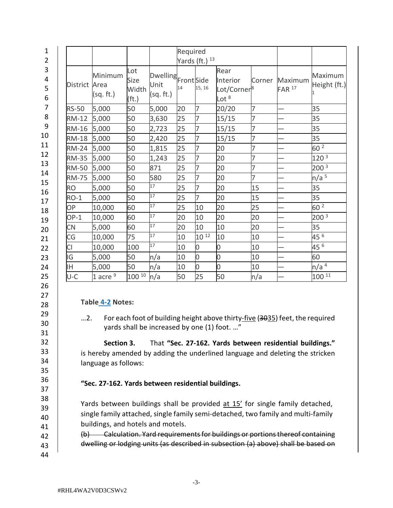| $\mathbf{1}$     |                 |                              |                                           |                                             | Required |                     |                                                        |                |                                |                         |
|------------------|-----------------|------------------------------|-------------------------------------------|---------------------------------------------|----------|---------------------|--------------------------------------------------------|----------------|--------------------------------|-------------------------|
| $\overline{2}$   |                 |                              |                                           |                                             |          | Yards (ft.) $^{13}$ |                                                        |                |                                |                         |
| 3<br>4<br>5<br>6 | <b>District</b> | Minimum<br>Area<br>(sq. ft.) | Lot<br>Size<br>Width<br>(f <sub>t</sub> ) | Dwelling<br>Front Side<br>Unit<br>(sq. ft.) | 14       | 15, 16              | Rear<br>Interior<br>Lot/Corner <sup>8</sup><br>Lot $8$ | Corner         | Maximum<br>$FAR$ <sup>17</sup> | Maximum<br>Height (ft.) |
| 7                | <b>RS-50</b>    | 5,000                        | 50                                        | 5,000                                       | 20       | 7                   | 20/20                                                  | 7              |                                | 35                      |
| 8                | <b>RM-12</b>    | 5,000                        | 50                                        | 3,630                                       | 25       | $\overline{7}$      | 15/15                                                  | 7              |                                | 35                      |
| 9                | <b>RM-16</b>    | 5,000                        | 50                                        | 2,723                                       | 25       | 7                   | 15/15                                                  | 7              |                                | 35                      |
| 10               | <b>RM-18</b>    | 5,000                        | 50                                        | 2,420                                       | 25       | 7                   | 15/15                                                  | 7              |                                | 35                      |
| 11               | <b>RM-24</b>    | 5,000                        | 50                                        | 1,815                                       | 25       | 7                   | 20                                                     | 7              |                                | 60 <sup>2</sup>         |
| 12               | <b>RM-35</b>    | 5,000                        | 50                                        | 1,243                                       | 25       | 7                   | 20                                                     | 7              |                                | 120 <sup>3</sup>        |
| 13<br>14         | <b>RM-50</b>    | 5,000                        | 50                                        | 871                                         | 25       | 7                   | 20                                                     | $\overline{7}$ |                                | 200 <sup>3</sup>        |
| 15               | <b>RM-75</b>    | 5,000                        | 50                                        | 580                                         | 25       | 7                   | 20                                                     | $\overline{7}$ |                                | n/a <sup>5</sup>        |
| 16               | <b>RO</b>       | 5,000                        | 50                                        | 17                                          | 25       | 7                   | 20                                                     | 15             |                                | 35                      |
| 17               | $RO-1$          | 5,000                        | 50                                        | 17                                          | 25       | $\overline{7}$      | 20                                                     | 15             |                                | 35                      |
| 18               | OP              | 10,000                       | 60                                        | 17                                          | 25       | 10                  | 20                                                     | 25             |                                | 60 2                    |
| 19               | $OP-1$          | 10,000                       | 60                                        | 17                                          | 20       | 10                  | 20                                                     | 20             |                                | 200 <sup>3</sup>        |
| 20               | <b>CN</b>       | 5,000                        | 60                                        | 17                                          | 20       | 10                  | 10                                                     | 20             |                                | 35                      |
| 21               | CG              | 10,000                       | 75                                        | 17                                          | 10       | $10^{12}$           | 10                                                     | 10             |                                | 45 6                    |
| 22               | <b>CI</b>       | 10,000                       | 100                                       | 17                                          | 10       | 0                   | 0                                                      | 10             |                                | 45 6                    |
| 23               | IG              | 5,000                        | 50                                        | n/a                                         | 10       | 0                   | 0                                                      | 10             |                                | 60                      |
| 24               | IΗ              | 5,000                        | 50                                        | n/a                                         | 10       | 0                   | 0                                                      | 10             |                                | n/a <sup>4</sup>        |
| 25               | U-C             | 1 acre $9$                   | $100^{10}$                                | n/a                                         | 50       | 25                  | 50                                                     | n/a            |                                | $100^{11}$              |
| 26               |                 |                              |                                           |                                             |          |                     |                                                        |                |                                |                         |

## **Table [4-2](https://library.municode.com/fl/tampa/codes/code_of_ordinances?nodeId=COOR_CH4PUAR_ARTIINGE_S4-2DE) Notes:**

...2. For each foot of building height above thirty-five (3035) feet, the required yards shall be increased by one (1) foot. …"

**Section 3.** That **"Sec. 27-162. Yards between residential buildings."**  is hereby amended by adding the underlined language and deleting the stricken language as follows:

## **"Sec. 27-162. Yards between residential buildings.**

Yards between buildings shall be provided at 15' for single family detached, single family attached, single family semi-detached, two family and multi-family buildings, and hotels and motels.

(b) Calculation. Yard requirements for buildings or portions thereof containing dwelling or lodging units (as described in subsection (a) above) shall be based on

43 44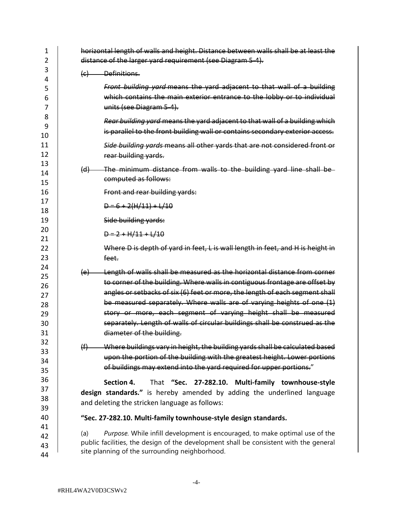| 1<br>2   | horizontal length of walls and height. Distance between walls shall be at least the<br>distance of the larger yard requirement (see Diagram 5-4). |
|----------|---------------------------------------------------------------------------------------------------------------------------------------------------|
| 3<br>4   | Definitions.<br>$\left(\epsilon\right)$                                                                                                           |
| 5        | Front building yard means the yard adjacent to that wall of a building                                                                            |
| 6        | which contains the main exterior entrance to the lobby or to individual                                                                           |
| 7        | units (see Diagram 5-4).                                                                                                                          |
| 8        |                                                                                                                                                   |
| 9        | Rear building yard means the yard adjacent to that wall of a building which                                                                       |
| 10       | is parallel to the front building wall or contains secondary exterior access.                                                                     |
| 11       | Side building yards means all other yards that are not considered front or                                                                        |
| 12       | rear building yards.                                                                                                                              |
| 13       |                                                                                                                                                   |
| 14       | The minimum distance from walls to the building yard line shall be-<br>$\Theta$                                                                   |
| 15       | computed as follows:                                                                                                                              |
| 16       | Front and rear building yards:                                                                                                                    |
| 17       | $D = 6 + 2(H/11) + L/10$                                                                                                                          |
| 18       |                                                                                                                                                   |
| 19       | Side building yards:                                                                                                                              |
| 20<br>21 | $D = 2 + H/11 + L/10$                                                                                                                             |
| 22       | Where D is depth of yard in feet, L is wall length in feet, and H is height in                                                                    |
| 23       | feet.                                                                                                                                             |
| 24       |                                                                                                                                                   |
| 25       | Length of walls shall be measured as the horizontal distance from corner<br>$\left\{ e\right\}$                                                   |
| 26       | to corner of the building. Where walls in contiguous frontage are offset by                                                                       |
| 27       | angles or setbacks of six (6) feet or more, the length of each segment shall                                                                      |
| 28       | be measured separately. Where walls are of varying heights of one (1)                                                                             |
| 29       | story or more, each segment of varying height shall be measured                                                                                   |
| 30       | separately. Length of walls of circular buildings shall be construed as the                                                                       |
| 31       | diameter of the building.                                                                                                                         |
| 32       |                                                                                                                                                   |
| 33       | Where buildings vary in height, the building yards shall be calculated based<br>(f)                                                               |
| 34       | upon the portion of the building with the greatest height. Lower portions                                                                         |
| 35       | of buildings may extend into the yard required for upper portions."                                                                               |
| 36       | Section 4.<br>That "Sec. 27-282.10. Multi-family townhouse-style                                                                                  |
| 37       | design standards." is hereby amended by adding the underlined language                                                                            |
| 38       | and deleting the stricken language as follows:                                                                                                    |
| 39       |                                                                                                                                                   |
| 40       | "Sec. 27-282.10. Multi-family townhouse-style design standards.                                                                                   |
| 41       |                                                                                                                                                   |
| 42       | Purpose. While infill development is encouraged, to make optimal use of the<br>(a)                                                                |
| 43       | public facilities, the design of the development shall be consistent with the general                                                             |
| 44       | site planning of the surrounding neighborhood.                                                                                                    |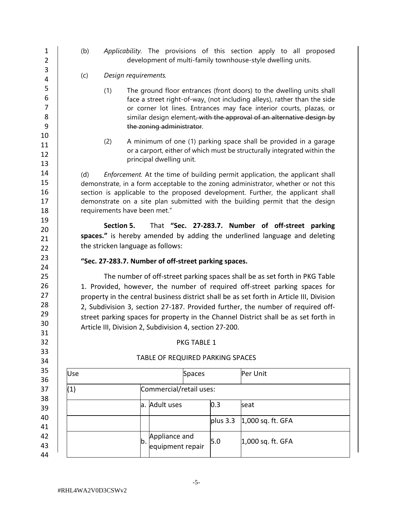1 2 3 4 5 6 7 8 9 10 11 12 13 14 15 16 17 18 19 20 21  $22$ 23 24 25 26 27 28 29 30 31 32 33 34 35 36 37 38 39 40 41 42 43 44 (b) *Applicability.* The provisions of this section apply to all proposed development of multi-family townhouse-style dwelling units. (c) *Design requirements.* (1) The ground floor entrances (front doors) to the dwelling units shall face a street right-of-way, (not including alleys), rather than the side or corner lot lines. Entrances may face interior courts, plazas, or similar design element, with the approval of an alternative design by the zoning administrator. (2) A minimum of one (1) parking space shall be provided in a garage or a carport, either of which must be structurally integrated within the principal dwelling unit. (d) *Enforcement.* At the time of building permit application, the applicant shall demonstrate, in a form acceptable to the zoning administrator, whether or not this section is applicable to the proposed development. Further, the applicant shall demonstrate on a site plan submitted with the building permit that the design requirements have been met." **Section 5.** That **"Sec. 27-283.7. Number of off-street parking spaces."** is hereby amended by adding the underlined language and deleting the stricken language as follows: **"Sec. 27-283.7. Number of off-street parking spaces.** The number of off-street parking spaces shall be as set forth in PKG Table 1. Provided, however, the number of required off-street parking spaces for property in the central business district shall be as set forth in Article III, Division 2, Subdivision 3, section 27-187. Provided further, the number of required offstreet parking spaces for property in the Channel District shall be as set forth in Article III, Division 2, Subdivision 4, [section 27-200.](https://library.municode.com/fl/tampa/codes/code_of_ordinances?nodeId=COOR_CH27ZOLADE_ARTIIIESZODIDIRE_DIV2SPDI_SD4CHDICDDI_S27-200PARE) PKG TABLE 1 TABLE OF REQUIRED PARKING SPACES Use **Spaces** Per Unit (1) Commercial/retail uses: a. Adult uses 0.3 seat plus  $3.3 \mid 1,000$  sq. ft. GFA b. Appliance and equipment repair 5.0 1,000 sq. ft. GFA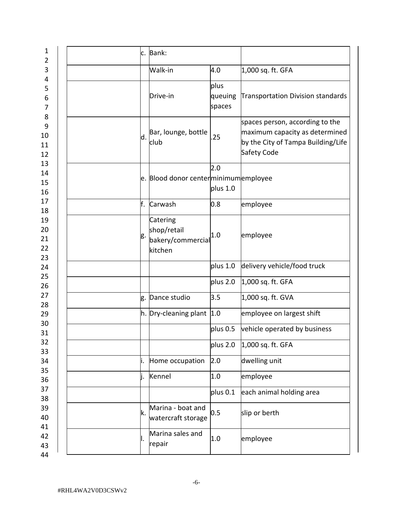| 1<br>$\overline{2}$           | c. | Bank:                                                   |                           |                                                                                                                        |
|-------------------------------|----|---------------------------------------------------------|---------------------------|------------------------------------------------------------------------------------------------------------------------|
| 3                             |    | Walk-in                                                 | 4.0                       | 1,000 sq. ft. GFA                                                                                                      |
| 4<br>5<br>6<br>$\overline{7}$ |    | Drive-in                                                | plus<br>queuing<br>spaces | Transportation Division standards                                                                                      |
| 8<br>9<br>10<br>11<br>12      | d. | Bar, lounge, bottle<br>club                             | 25                        | spaces person, according to the<br>maximum capacity as determined<br>by the City of Tampa Building/Life<br>Safety Code |
| 13<br>14<br>15<br>16          |    | e. Blood donor center minimum employee                  | 2.0<br>plus 1.0           |                                                                                                                        |
| 17<br>18                      | f. | Carwash                                                 | 0.8                       | employee                                                                                                               |
| 19<br>20<br>21<br>22<br>23    | g. | Catering<br>shop/retail<br>bakery/commercial<br>kitchen | 1.0                       | employee                                                                                                               |
| 24                            |    |                                                         | plus 1.0                  | delivery vehicle/food truck                                                                                            |
| 25<br>26                      |    |                                                         | plus 2.0                  | 1,000 sq. ft. GFA                                                                                                      |
| 27<br>28                      | g. | Dance studio                                            | 3.5                       | 1,000 sq. ft. GVA                                                                                                      |
| 29                            |    | $ h.$ Dry-cleaning plant $ 1.0$                         |                           | employee on largest shift                                                                                              |
| 30<br>31                      |    |                                                         | plus 0.5                  | vehicle operated by business                                                                                           |
| 32<br>33                      |    |                                                         | plus 2.0                  | 1,000 sq. ft. GFA                                                                                                      |
| 34                            | ١. | Home occupation                                         | 2.0                       | dwelling unit                                                                                                          |
| 35<br>36                      | ı. | Kennel                                                  | 1.0                       | employee                                                                                                               |
| 37                            |    |                                                         | plus 0.1                  | each animal holding area                                                                                               |
| 38<br>39<br>40                | k. | Marina - boat and<br>watercraft storage                 | 0.5                       | slip or berth                                                                                                          |
| 41<br>42<br>43<br>44          | ı. | Marina sales and<br>repair                              | 1.0                       | employee                                                                                                               |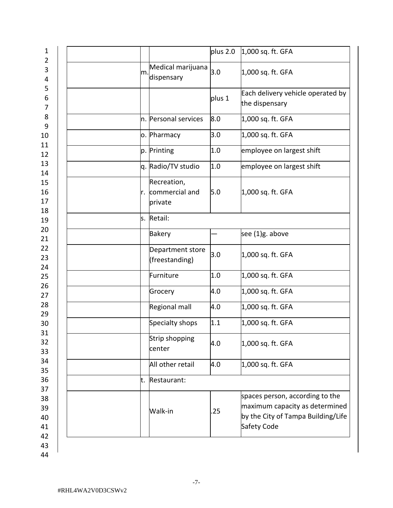| $\overline{2}$<br>3        |    |                                             |        |                                                                                                                        |
|----------------------------|----|---------------------------------------------|--------|------------------------------------------------------------------------------------------------------------------------|
| 4                          | m. | Medical marijuana<br>dispensary             | 3.0    | 1,000 sq. ft. GFA                                                                                                      |
| 5<br>6<br>7                |    |                                             | plus 1 | Each delivery vehicle operated by<br>the dispensary                                                                    |
| 8<br>9                     |    | n. Personal services                        | 8.0    | 1,000 sq. ft. GFA                                                                                                      |
| 10                         |    | o. Pharmacy                                 | 3.0    | 1,000 sq. ft. GFA                                                                                                      |
| 11<br>12                   |    | p. Printing                                 | 1.0    | employee on largest shift                                                                                              |
| 13<br>14                   |    | q. Radio/TV studio                          | 1.0    | employee on largest shift                                                                                              |
| 15<br>16<br>17<br>18       |    | Recreation,<br>r. commercial and<br>private | 5.0    | 1,000 sq. ft. GFA                                                                                                      |
| 19                         |    | s. Retail:                                  |        |                                                                                                                        |
| 20<br>21                   |    | <b>Bakery</b>                               |        | see (1)g. above                                                                                                        |
| 22<br>23<br>24             |    | Department store<br>(freestanding)          | 3.0    | 1,000 sq. ft. GFA                                                                                                      |
| 25                         |    | Furniture                                   | 1.0    | 1,000 sq. ft. GFA                                                                                                      |
| 26<br>27                   |    | Grocery                                     | 4.0    | 1,000 sq. ft. GFA                                                                                                      |
| 28<br>29                   |    | Regional mall                               | 4.0    | 1,000 sq. ft. GFA                                                                                                      |
| 30                         |    | Specialty shops                             | 1.1    | 1,000 sq. ft. GFA                                                                                                      |
| 31<br>32<br>33             |    | Strip shopping<br>center                    | 4.0    | 1,000 sq. ft. GFA                                                                                                      |
| 34<br>35                   |    | All other retail                            | 4.0    | 1,000 sq. ft. GFA                                                                                                      |
| 36                         | t. | Restaurant:                                 |        |                                                                                                                        |
| 37<br>38<br>39<br>40<br>41 |    | Walk-in                                     | .25    | spaces person, according to the<br>maximum capacity as determined<br>by the City of Tampa Building/Life<br>Safety Code |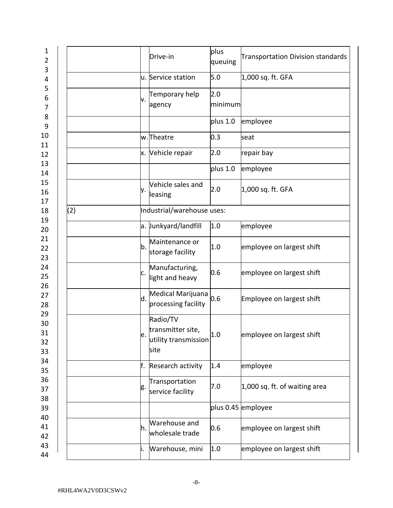| 1<br>$\overline{2}$<br>3   |     |     | Drive-in                                                      | plus<br>queuing | <b>Transportation Division standards</b> |
|----------------------------|-----|-----|---------------------------------------------------------------|-----------------|------------------------------------------|
| 4                          |     |     | u. Service station                                            | 5.0             | 1,000 sq. ft. GFA                        |
| 5<br>6<br>7                |     | ٧.  | Temporary help<br>agency                                      | 2.0<br>minimum  |                                          |
| 8<br>9                     |     |     |                                                               | plus 1.0        | employee                                 |
| 10<br>11                   |     |     | w.Theatre                                                     | 0.3             | seat                                     |
| 12                         |     |     | x. Vehicle repair                                             | 2.0             | repair bay                               |
| 13<br>14                   |     |     |                                                               | plus 1.0        | employee                                 |
| 15<br>16<br>17             |     | y.  | Vehicle sales and<br>leasing                                  | 2.0             | 1,000 sq. ft. GFA                        |
| 18<br>19                   | (2) |     | Industrial/warehouse uses:                                    |                 |                                          |
| 20                         |     |     | a. Junkyard/landfill                                          | 1.0             | employee                                 |
| 21<br>22<br>23             |     | b.  | Maintenance or<br>storage facility                            | 1.0             | employee on largest shift                |
| 24<br>25<br>26             |     | c.  | Manufacturing,<br>light and heavy                             | 0.6             | employee on largest shift                |
| 27<br>28                   |     | d.  | Medical Marijuana<br>processing facility                      | 0.6             | Employee on largest shift                |
| 29<br>30<br>31<br>32<br>33 |     | e.  | Radio/TV<br>transmitter site,<br>utility transmission<br>site | 1.0             | employee on largest shift                |
| 34<br>35                   |     | f.  | Research activity                                             | 1.4             | employee                                 |
| 36<br>37<br>38             |     | g.  | Transportation<br>service facility                            | 7.0             | 1,000 sq. ft. of waiting area            |
| 39                         |     |     |                                                               |                 | plus 0.45 employee                       |
| 40<br>41<br>42             |     | h.  | Warehouse and<br>wholesale trade                              | 0.6             | employee on largest shift                |
| 43<br>44                   |     | li. | Warehouse, mini                                               | 1.0             | employee on largest shift                |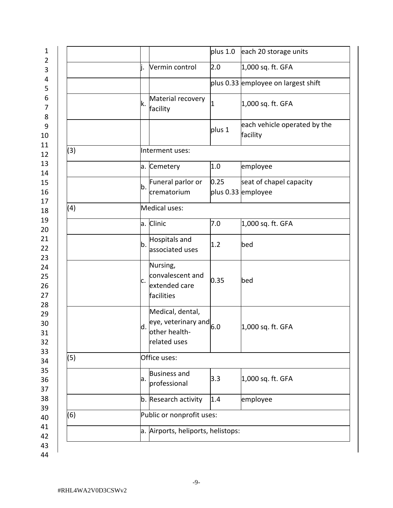|     | plus 1.0<br>each 20 storage units                                                                             |                              |  |  |  |  |
|-----|---------------------------------------------------------------------------------------------------------------|------------------------------|--|--|--|--|
|     | 2.0<br>j.<br>Vermin control<br>1,000 sq. ft. GFA                                                              |                              |  |  |  |  |
|     | plus 0.33 employee on largest shift                                                                           |                              |  |  |  |  |
|     | Material recovery<br>k.<br>1,000 sq. ft. GFA<br>1<br>facility                                                 |                              |  |  |  |  |
|     | plus 1<br>facility                                                                                            | each vehicle operated by the |  |  |  |  |
| (3) | Interment uses:                                                                                               |                              |  |  |  |  |
|     | 1.0<br>a. Cemetery<br>employee                                                                                |                              |  |  |  |  |
|     | Funeral parlor or<br>0.25<br>seat of chapel capacity<br>b.<br>crematorium<br>plus 0.33 employee               |                              |  |  |  |  |
| (4) | Medical uses:                                                                                                 |                              |  |  |  |  |
|     | a. Clinic<br>7.0<br>1,000 sq. ft. GFA                                                                         |                              |  |  |  |  |
|     | Hospitals and<br>b.<br>1.2<br>bed<br>associated uses                                                          |                              |  |  |  |  |
|     | Nursing,<br>convalescent and<br>0.35<br>bed<br>c.<br>extended care<br>facilities                              |                              |  |  |  |  |
|     | Medical, dental,<br>eye, veterinary and $_{6.0}$<br>d.<br>1,000 sq. ft. GFA<br>lother health-<br>related uses |                              |  |  |  |  |
| (5) | Office uses:                                                                                                  |                              |  |  |  |  |
|     | <b>Business and</b><br>3.3<br>1,000 sq. ft. GFA<br>a.<br>professional                                         |                              |  |  |  |  |
|     | b. Research activity<br>1.4<br>employee                                                                       |                              |  |  |  |  |
| (6) | Public or nonprofit uses:                                                                                     |                              |  |  |  |  |
|     | a. Airports, heliports, helistops:                                                                            |                              |  |  |  |  |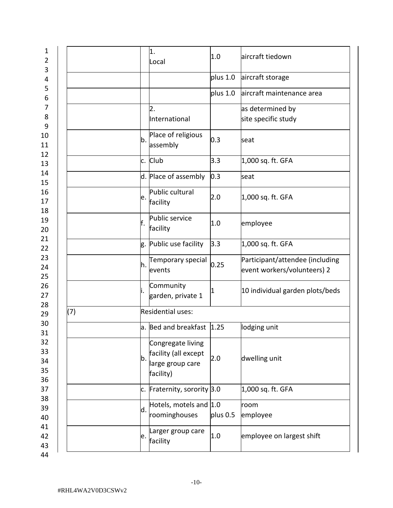| 1<br>$\overline{2}$        |     |    | 1.<br>Local                                                                | 1.0      | laircraft tiedown                                              |
|----------------------------|-----|----|----------------------------------------------------------------------------|----------|----------------------------------------------------------------|
| 3<br>4                     |     |    |                                                                            | plus 1.0 | aircraft storage                                               |
| 5<br>6                     |     |    |                                                                            | plus 1.0 | aircraft maintenance area                                      |
| $\overline{7}$<br>8<br>9   |     |    | 2.<br>International                                                        |          | as determined by<br>site specific study                        |
| 10<br>11                   |     | b. | Place of religious<br>assembly                                             | 0.3      | seat                                                           |
| 12<br>13                   |     |    | c. Club                                                                    | 3.3      | 1,000 sq. ft. GFA                                              |
| 14<br>15                   |     |    | d. Place of assembly                                                       | 0.3      | seat                                                           |
| 16<br>17<br>18             |     | e. | Public cultural<br>facility                                                | 2.0      | 1,000 sq. ft. GFA                                              |
| 19<br>20                   |     | F. | Public service<br>facility                                                 | 1.0      | employee                                                       |
| 21<br>22                   |     | g. | Public use facility                                                        | 3.3      | 1,000 sq. ft. GFA                                              |
| 23<br>24<br>25             |     | h. | Temporary special<br>events                                                | 0.25     | Participant/attendee (including<br>event workers/volunteers) 2 |
| 26<br>27                   |     | İ. | Community<br>garden, private 1                                             |          | 10 individual garden plots/beds                                |
| 28<br>29                   | (7) |    | Residential uses:                                                          |          |                                                                |
| 30<br>31                   |     |    | $a.$ Bed and breakfast $\vert 1.25 \rangle$                                |          | lodging unit                                                   |
| 32<br>33<br>34<br>35<br>36 |     | b. | Congregate living<br>facility (all except<br>large group care<br>facility) | 2.0      | dwelling unit                                                  |
| 37                         |     | c. | Fraternity, sorority 3.0                                                   |          | 1,000 sq. ft. GFA                                              |
| 38<br>39<br>40             |     | d. | Hotels, motels and 1.0<br>roominghouses                                    | plus 0.5 | room<br>employee                                               |
| 41<br>42<br>43             |     | e. | Larger group care<br>facility                                              | 1.0      | employee on largest shift                                      |
| 44                         |     |    |                                                                            |          |                                                                |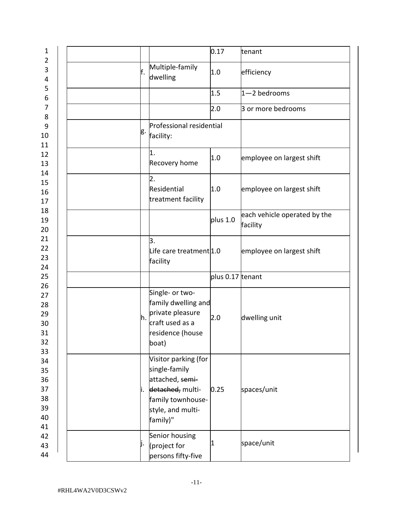| 1                                            |     |                                                                                                                                    | 0.17             | tenant                                   |
|----------------------------------------------|-----|------------------------------------------------------------------------------------------------------------------------------------|------------------|------------------------------------------|
| $\overline{2}$<br>3<br>4                     | lf. | Multiple-family<br>dwelling                                                                                                        | 1.0              | efficiency                               |
| 5<br>6                                       |     |                                                                                                                                    | 1.5              | $1 - 2$ bedrooms                         |
| $\overline{7}$<br>8                          |     |                                                                                                                                    | 2.0              | 3 or more bedrooms                       |
| $\boldsymbol{9}$<br>10<br>11                 | g.  | Professional residential<br>facility:                                                                                              |                  |                                          |
| 12<br>13<br>14                               |     | 1.<br>Recovery home                                                                                                                | 1.0              | employee on largest shift                |
| 15<br>16<br>17                               |     | $\overline{2}$ .<br>Residential<br>treatment facility                                                                              | 1.0              | employee on largest shift                |
| 18<br>19<br>20                               |     |                                                                                                                                    | plus 1.0         | each vehicle operated by the<br>facility |
| 21<br>22<br>23<br>24                         |     | 3.<br>Life care treatment 1.0<br>facility                                                                                          |                  | employee on largest shift                |
| 25                                           |     |                                                                                                                                    | plus 0.17 tenant |                                          |
| 26<br>27<br>28<br>29<br>30<br>31<br>32<br>33 | lh. | Single- or two-<br>family dwelling and<br>private pleasure<br>craft used as a<br>residence (house<br>boat)                         | 2.0              | dwelling unit                            |
| 34<br>35<br>36<br>37<br>38<br>39<br>40<br>41 | li. | Visitor parking (for<br>single-family<br>attached, semi-<br>detached, multi-<br>family townhouse-<br>style, and multi-<br>family)" | 0.25             | spaces/unit                              |
| 42<br>43<br>44                               | ij. | Senior housing<br>(project for<br>persons fifty-five                                                                               | 1                | space/unit                               |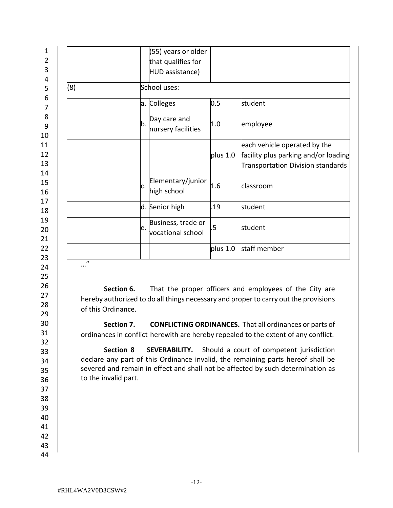|     |              | (55) years or older |          |                                      |  |  |  |  |  |
|-----|--------------|---------------------|----------|--------------------------------------|--|--|--|--|--|
|     |              | that qualifies for  |          |                                      |  |  |  |  |  |
|     |              | HUD assistance)     |          |                                      |  |  |  |  |  |
| (8) | School uses: |                     |          |                                      |  |  |  |  |  |
|     |              | a. Colleges         | 0.5      | student                              |  |  |  |  |  |
|     | b.           | Day care and        | 1.0      | employee                             |  |  |  |  |  |
|     |              | nursery facilities  |          |                                      |  |  |  |  |  |
|     |              |                     |          | each vehicle operated by the         |  |  |  |  |  |
|     |              |                     | plus 1.0 | facility plus parking and/or loading |  |  |  |  |  |
|     |              |                     |          | Transportation Division standards    |  |  |  |  |  |
|     | c.           | Elementary/junior   | 1.6      | classroom                            |  |  |  |  |  |
|     |              | high school         |          |                                      |  |  |  |  |  |
|     |              | d. Senior high      | .19      | student                              |  |  |  |  |  |
|     | e.           | Business, trade or  | .5       | student                              |  |  |  |  |  |
|     |              | vocational school   |          |                                      |  |  |  |  |  |
|     |              |                     | plus 1.0 | staff member                         |  |  |  |  |  |

**Section 6.** That the proper officers and employees of the City are hereby authorized to do all things necessary and proper to carry out the provisions of this Ordinance.

**Section 7. CONFLICTING ORDINANCES.** That all ordinances or parts of ordinances in conflict herewith are hereby repealed to the extent of any conflict.

**Section 8 SEVERABILITY.** Should a court of competent jurisdiction declare any part of this Ordinance invalid, the remaining parts hereof shall be severed and remain in effect and shall not be affected by such determination as to the invalid part.